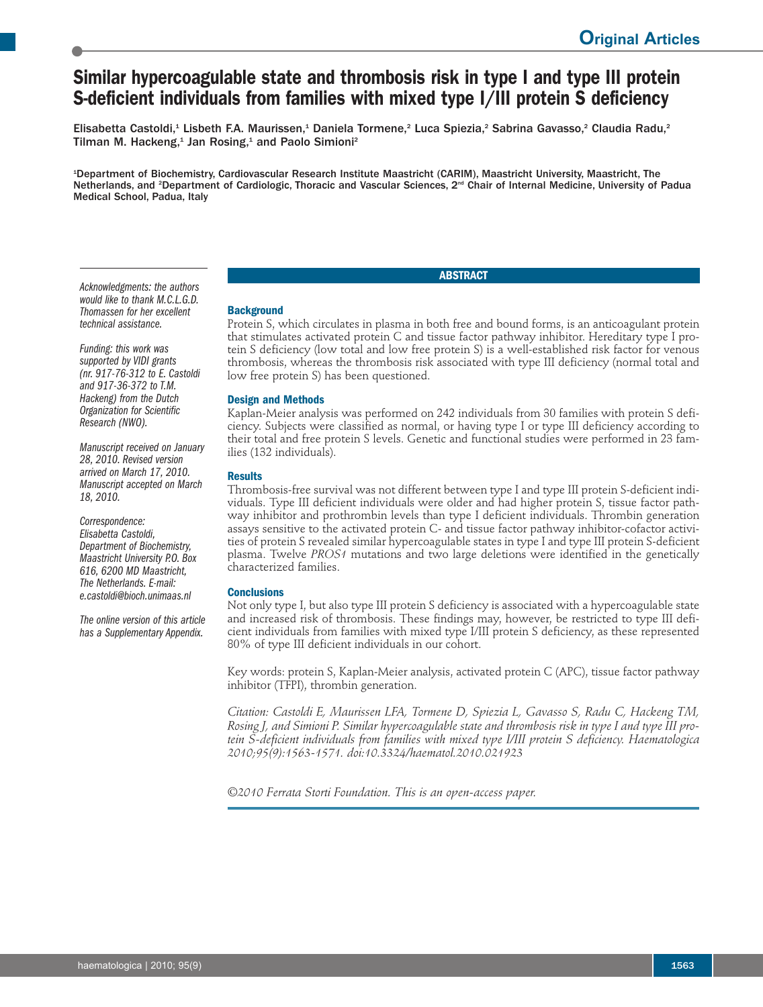# **Similar hypercoagulable state and thrombosis risk in type I and type III protein S-deficient individuals from families with mixed type I/III protein S deficiency**

Elisabetta Castoldi,<sup>1</sup> Lisbeth F.A. Maurissen,<sup>1</sup> Daniela Tormene,<sup>2</sup> Luca Spiezia,<sup>2</sup> Sabrina Gavasso,<sup>2</sup> Claudia Radu,<sup>2</sup> Tilman M. Hackeng,<sup>1</sup> Jan Rosing,<sup>1</sup> and Paolo Simioni<sup>2</sup>

1 Department of Biochemistry, Cardiovascular Research Institute Maastricht (CARIM), Maastricht University, Maastricht, The Netherlands, and <sup>2</sup>Department of Cardiologic, Thoracic and Vascular Sciences, 2<sup>nd</sup> Chair of Internal Medicine, University of Padua Medical School, Padua, Italy

# **ABSTRACT**

*Acknowledgments: the authors would like to thank M.C.L.G.D. Thomassen for her excellent technical assistance.*

*Funding: this work was supported by VIDI grants (nr. 917-76-312 to E. Castoldi and 917-36-372 to T.M. Hackeng) from the Dutch Organization for Scientific Research (NWO).*

*Manuscript received on January 28, 2010. Revised version arrived on March 17, 2010. Manuscript accepted on March 18, 2010.*

*Correspondence: Elisabetta Castoldi, Department of Biochemistry, Maastricht University P.O. Box 616, 6200 MD Maastricht, The Netherlands.E-mail: e.castoldi@bioch.unimaas.nl*

*The online version of this article has a Supplementary Appendix.*

**Background** Protein S, which circulates in plasma in both free and bound forms, is an anticoagulant protein that stimulates activated protein C and tissue factor pathway inhibitor. Hereditary type I protein S deficiency (low total and low free protein S) is a well-established risk factor for venous thrombosis, whereas the thrombosis risk associated with type III deficiency (normal total and low free protein S) has been questioned.

# **Design and Methods**

Kaplan-Meier analysis was performed on 242 individuals from 30 families with protein S deficiency. Subjects were classified as normal, or having type I or type III deficiency according to their total and free protein S levels. Genetic and functional studies were performed in 23 families (132 individuals).

# **Results**

Thrombosis-free survival was not different between type I and type III protein S-deficient individuals. Type III deficient individuals were older and had higher protein S, tissue factor pathway inhibitor and prothrombin levels than type I deficient individuals. Thrombin generation assays sensitive to the activated protein C- and tissue factor pathway inhibitor-cofactor activities of protein S revealed similar hypercoagulable states in type I and type III protein S-deficient plasma. Twelve *PROS1* mutations and two large deletions were identified in the genetically characterized families.

## **Conclusions**

Not only type I, but also type III protein S deficiency is associated with a hypercoagulable state and increased risk of thrombosis. These findings may, however, be restricted to type III deficient individuals from families with mixed type I/III protein S deficiency, as these represented 80% of type III deficient individuals in our cohort.

Key words: protein S, Kaplan-Meier analysis, activated protein C (APC), tissue factor pathway inhibitor (TFPI), thrombin generation.

*Citation: Castoldi E, Maurissen LFA, Tormene D, Spiezia L, Gavasso S, Radu C, Hackeng TM,* Rosing J, and Simioni P. Similar hypercoagulable state and thrombosis risk in type I and type III pro*tein S-deficient individuals from families with mixed type I/III protein S deficiency. Haematologica 2010;95(9):1563-1571. doi:10.3324/haematol.2010.021923*

*©2010 Ferrata Storti Foundation. This is an open-access paper.*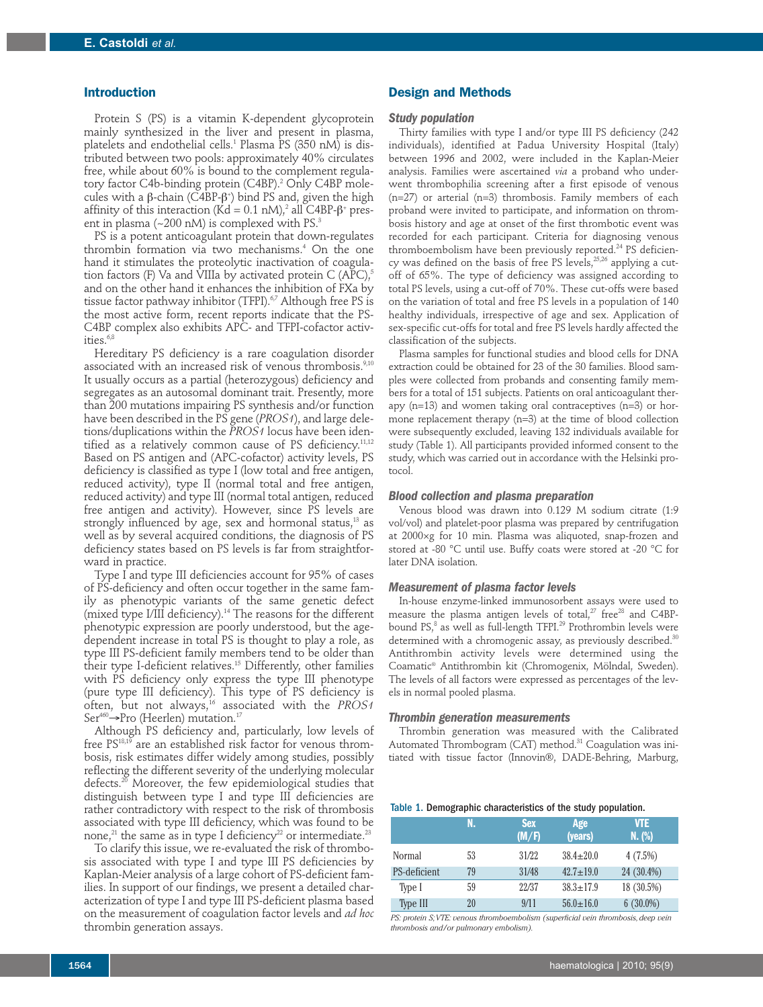# **Introduction**

Protein S (PS) is a vitamin K-dependent glycoprotein mainly synthesized in the liver and present in plasma, platelets and endothelial cells. <sup>1</sup> Plasma PS (350 nM) is distributed between two pools: approximately 40% circulates free, while about 60% is bound to the complement regulatory factor C4b-binding protein (C4BP). <sup>2</sup> Only C4BP molecules with a  $\beta$ -chain (C4BP- $\beta^{\scriptscriptstyle +}$ ) bind PS and, given the high affinity of this interaction (Kd = 0.1 nM), $^2$  all C4BP- $\beta^*$  present in plasma (~200 nM) is complexed with PS. 3

PS is a potent anticoagulant protein that down-regulates thrombin formation via two mechanisms. <sup>4</sup> On the one hand it stimulates the proteolytic inactivation of coagulation factors (F) Va and VIIIa by activated protein C (APC), 5 and on the other hand it enhances the inhibition of FXa by tissue factor pathway inhibitor (TFPI).<sup>6,7</sup> Although free PS is the most active form, recent reports indicate that the PS-C4BP complex also exhibits APC- and TFPI-cofactor activities. 6,8

Hereditary PS deficiency is a rare coagulation disorder associated with an increased risk of venous thrombosis. 9,10 It usually occurs as a partial (heterozygous) deficiency and segregates as an autosomal dominant trait. Presently, more than 200 mutations impairing PS synthesis and/or function have been described in the PS gene (*PROS1*), and large deletions/duplications within the *PROS1* locus have been identified as a relatively common cause of PS deficiency. 11,12 Based on PS antigen and (APC-cofactor) activity levels, PS deficiency is classified as type I (low total and free antigen, reduced activity), type II (normal total and free antigen, reduced activity) and type III (normal total antigen, reduced free antigen and activity). However, since PS levels are strongly influenced by age, sex and hormonal status, <sup>13</sup> as well as by several acquired conditions, the diagnosis of PS deficiency states based on PS levels is far from straightforward in practice.

Type I and type III deficiencies account for 95% of cases of PS-deficiency and often occur together in the same family as phenotypic variants of the same genetic defect (mixed type I/III deficiency). <sup>14</sup> The reasons for the different phenotypic expression are poorly understood, but the agedependent increase in total PS is thought to play a role, as type III PS-deficient family members tend to be older than their type I-deficient relatives. <sup>15</sup> Differently, other families with PS deficiency only express the type III phenotype (pure type III deficiency). This type of PS deficiency is often, but not always, <sup>16</sup> associated with the *PROS1* Ser<sup>460</sup>→Pro (Heerlen) mutation.<sup>17</sup>

Although PS deficiency and, particularly, low levels of free  $PS^{18,19}$  are an established risk factor for venous thrombosis, risk estimates differ widely among studies, possibly reflecting the different severity of the underlying molecular defects. <sup>20</sup> Moreover, the few epidemiological studies that distinguish between type I and type III deficiencies are rather contradictory with respect to the risk of thrombosis associated with type III deficiency, which was found to be none, $^{\scriptscriptstyle 21}$  the same as in type I deficiency $^{\scriptscriptstyle 22}$  or intermediate. $^{\scriptscriptstyle 23}$ 

To clarify this issue, we re-evaluated the risk of thrombosis associated with type I and type III PS deficiencies by Kaplan-Meier analysis of a large cohort of PS-deficient families. In support of our findings, we present a detailed characterization of type I and type III PS-deficient plasma based on the measurement of coagulation factor levels and *ad hoc* thrombin generation assays.

# **Design and Methods**

#### *Study population*

Thirty families with type I and/or type III PS deficiency (242 individuals), identified at Padua University Hospital (Italy) between 1996 and 2002, were included in the Kaplan-Meier analysis. Families were ascertained *via* a proband who underwent thrombophilia screening after a first episode of venous (n=27) or arterial (n=3) thrombosis. Family members of each proband were invited to participate, and information on thrombosis history and age at onset of the first thrombotic event was recorded for each participant. Criteria for diagnosing venous thromboembolism have been previously reported. <sup>24</sup> PS deficiency was defined on the basis of free PS levels,<sup>25,26</sup> applying a cutoff of 65%. The type of deficiency was assigned according to total PS levels, using a cut-off of 70%. These cut-offs were based on the variation of total and free PS levels in a population of 140 healthy individuals, irrespective of age and sex. Application of sex-specific cut-offs for total and free PS levels hardly affected the classification of the subjects.

Plasma samples for functional studies and blood cells for DNA extraction could be obtained for 23 of the 30 families. Blood samples were collected from probands and consenting family members for a total of 151 subjects. Patients on oral anticoagulant therapy (n=13) and women taking oral contraceptives (n=3) or hormone replacement therapy (n=3) at the time of blood collection were subsequently excluded, leaving 132 individuals available for study (Table 1). All participants provided informed consent to the study, which was carried out in accordance with the Helsinki protocol.

## *Blood collection and plasma preparation*

Venous blood was drawn into 0.129 M sodium citrate (1:9 vol/vol) and platelet-poor plasma was prepared by centrifugation at 2000×g for 10 min. Plasma was aliquoted, snap-frozen and stored at -80 °C until use. Buffy coats were stored at -20 °C for later DNA isolation.

# *Measurement of plasma factor levels*

In-house enzyme-linked immunosorbent assays were used to measure the plasma antigen levels of total, $^{27}$  free $^{28}$  and C4BPbound PS,<sup>8</sup> as well as full-length TFPI.<sup>29</sup> Prothrombin levels were determined with a chromogenic assay, as previously described.<sup>30</sup> Antithrombin activity levels were determined using the Coamatic® Antithrombin kit (Chromogenix, Mölndal, Sweden). The levels of all factors were expressed as percentages of the levels in normal pooled plasma.

#### *Thrombin generation measurements*

Thrombin generation was measured with the Calibrated Automated Thrombogram (CAT) method. <sup>31</sup> Coagulation was initiated with tissue factor (Innovin®, DADE-Behring, Marburg,

## Table 1. Demographic characteristics of the study population.

|              | N. | <b>Sex</b><br>(M/F) | Age<br>(years)  | <b>VTE</b><br>$N.$ (%) |
|--------------|----|---------------------|-----------------|------------------------|
| Normal       | 53 | 31/22               | $38.4 \pm 20.0$ | 4(7.5%)                |
| PS-deficient | 79 | 31/48               | $42.7 \pm 19.0$ | 24 (30.4%)             |
| Type I       | 59 | 22/37               | $38.3 \pm 17.9$ | 18 (30.5%)             |
| Type III     | 20 | 9/11                | $56.0 \pm 16.0$ | $6(30.0\%)$            |

*PS: protein S;VTE: venous thromboembolism (superficial vein thrombosis,deep vein thrombosis and/or pulmonary embolism).*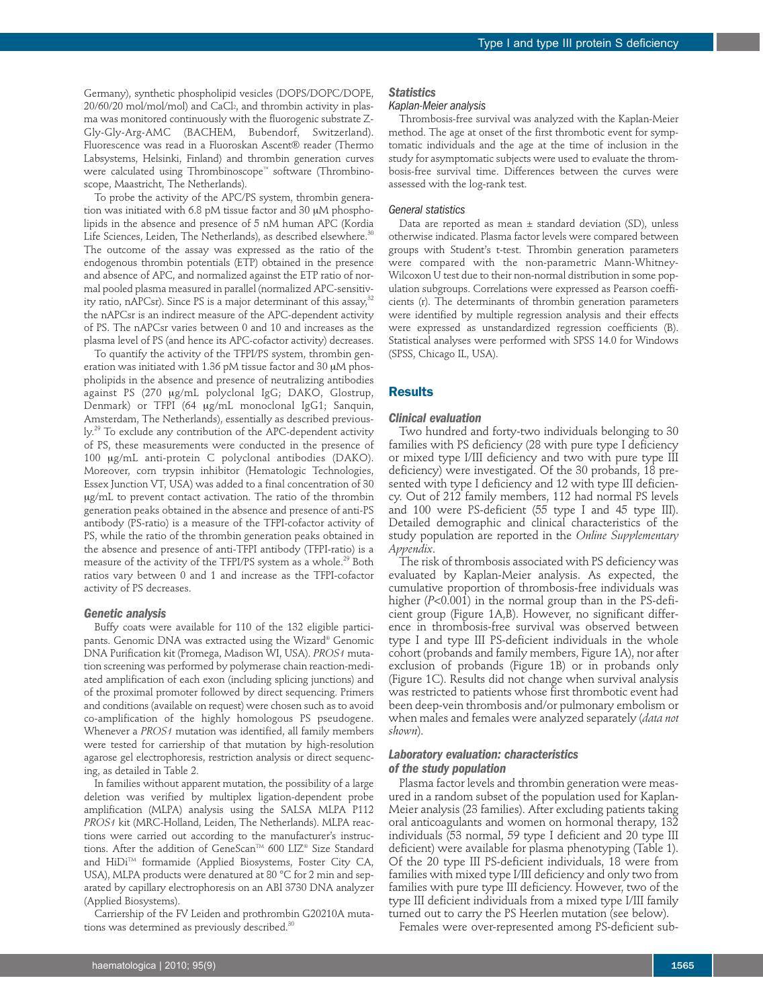Germany), synthetic phospholipid vesicles (DOPS/DOPC/DOPE, 20/60/20 mol/mol/mol) and CaCl2, and thrombin activity in plasma was monitored continuously with the fluorogenic substrate Z-Gly-Gly-Arg-AMC (BACHEM, Bubendorf, Switzerland). Fluorescence was read in a Fluoroskan Ascent® reader (Thermo Labsystems, Helsinki, Finland) and thrombin generation curves were calculated using Thrombinoscope™ software (Thrombinoscope, Maastricht, The Netherlands).

To probe the activity of the APC/PS system, thrombin generation was initiated with 6.8 pM tissue factor and 30  $\mu$ M phospholipids in the absence and presence of 5 nM human APC (Kordia Life Sciences, Leiden, The Netherlands), as described elsewhere. 30 The outcome of the assay was expressed as the ratio of the endogenous thrombin potentials (ETP) obtained in the presence and absence of APC, and normalized against the ETP ratio of normal pooled plasma measured in parallel (normalized APC-sensitivity ratio, nAPCsr). Since PS is a major determinant of this assay, $^{\rm 32}$ the nAPCsr is an indirect measure of the APC-dependent activity of PS. The nAPCsr varies between 0 and 10 and increases as the plasma level of PS (and hence its APC-cofactor activity) decreases.

To quantify the activity of the TFPI/PS system, thrombin generation was initiated with 1.36 pM tissue factor and 30  $\mu$ M phospholipids in the absence and presence of neutralizing antibodies against PS (270 µg/mL polyclonal IgG; DAKO, Glostrup, Denmark) or TFPI (64 µg/mL monoclonal IgG1; Sanquin, Amsterdam, The Netherlands), essentially as described previously.<sup>29</sup> To exclude any contribution of the APC-dependent activity of PS, these measurements were conducted in the presence of 100 mg/mL anti-protein C polyclonal antibodies (DAKO). Moreover, corn trypsin inhibitor (Hematologic Technologies, Essex Junction VT, USA) was added to a final concentration of 30 mg/mL to prevent contact activation. The ratio of the thrombin generation peaks obtained in the absence and presence of anti-PS antibody (PS-ratio) is a measure of the TFPI-cofactor activity of PS, while the ratio of the thrombin generation peaks obtained in the absence and presence of anti-TFPI antibody (TFPI-ratio) is a measure of the activity of the TFPI/PS system as a whole. <sup>29</sup> Both ratios vary between 0 and 1 and increase as the TFPI-cofactor activity of PS decreases.

# *Genetic analysis*

Buffy coats were available for 110 of the 132 eligible participants. Genomic DNA was extracted using the Wizard® Genomic DNA Purification kit (Promega, Madison WI, USA). *PROS1* mutation screening was performed by polymerase chain reaction-mediated amplification of each exon (including splicing junctions) and of the proximal promoter followed by direct sequencing. Primers and conditions (available on request) were chosen such as to avoid co-amplification of the highly homologous PS pseudogene. Whenever a *PROS1* mutation was identified, all family members were tested for carriership of that mutation by high-resolution agarose gel electrophoresis, restriction analysis or direct sequencing, as detailed in Table 2.

In families without apparent mutation, the possibility of a large deletion was verified by multiplex ligation-dependent probe amplification (MLPA) analysis using the SALSA MLPA P112 *PROS1* kit (MRC-Holland, Leiden, The Netherlands). MLPA reactions were carried out according to the manufacturer's instructions. After the addition of GeneScan™ 600 LIZ® Size Standard and HiDi TM formamide (Applied Biosystems, Foster City CA, USA), MLPA products were denatured at 80 °C for 2 min and separated by capillary electrophoresis on an ABI 3730 DNA analyzer (Applied Biosystems).

Carriership of the FV Leiden and prothrombin G20210A mutations was determined as previously described. $^{\rm 30}$ 

#### *Statistics*

#### *Kaplan-Meier analysis*

Thrombosis-free survival was analyzed with the Kaplan-Meier method. The age at onset of the first thrombotic event for symptomatic individuals and the age at the time of inclusion in the study for asymptomatic subjects were used to evaluate the thrombosis-free survival time. Differences between the curves were assessed with the log-rank test.

#### *General statistics*

Data are reported as mean  $\pm$  standard deviation (SD), unless otherwise indicated. Plasma factor levels were compared between groups with Student's t-test. Thrombin generation parameters were compared with the non-parametric Mann-Whitney-Wilcoxon U test due to their non-normal distribution in some population subgroups. Correlations were expressed as Pearson coefficients (r). The determinants of thrombin generation parameters were identified by multiple regression analysis and their effects were expressed as unstandardized regression coefficients (B). Statistical analyses were performed with SPSS 14.0 for Windows (SPSS, Chicago IL, USA).

# **Results**

#### *Clinical evaluation*

Two hundred and forty-two individuals belonging to 30 families with PS deficiency (28 with pure type I deficiency or mixed type I/III deficiency and two with pure type III deficiency) were investigated. Of the 30 probands, 18 presented with type I deficiency and 12 with type III deficiency. Out of 212 family members, 112 had normal PS levels and 100 were PS-deficient (55 type I and 45 type III). Detailed demographic and clinical characteristics of the study population are reported in the *Online Supplementary Appendix*.

The risk of thrombosis associated with PS deficiency was evaluated by Kaplan-Meier analysis. As expected, the cumulative proportion of thrombosis-free individuals was higher (*P*<0.001) in the normal group than in the PS-deficient group (Figure 1A,B). However, no significant difference in thrombosis-free survival was observed between type I and type III PS-deficient individuals in the whole cohort (probands and family members, Figure 1A), nor after exclusion of probands (Figure 1B) or in probands only (Figure 1C). Results did not change when survival analysis was restricted to patients whose first thrombotic event had been deep-vein thrombosis and/or pulmonary embolism or when males and females were analyzed separately (*data not shown*).

# *Laboratory evaluation: characteristics of the study population*

Plasma factor levels and thrombin generation were measured in a random subset of the population used for Kaplan-Meier analysis (23 families). After excluding patients taking oral anticoagulants and women on hormonal therapy, 132 individuals (53 normal, 59 type I deficient and 20 type III deficient) were available for plasma phenotyping (Table 1). Of the 20 type III PS-deficient individuals, 18 were from families with mixed type I/III deficiency and only two from families with pure type III deficiency. However, two of the type III deficient individuals from a mixed type I/III family turned out to carry the PS Heerlen mutation (see below).

Females were over-represented among PS-deficient sub-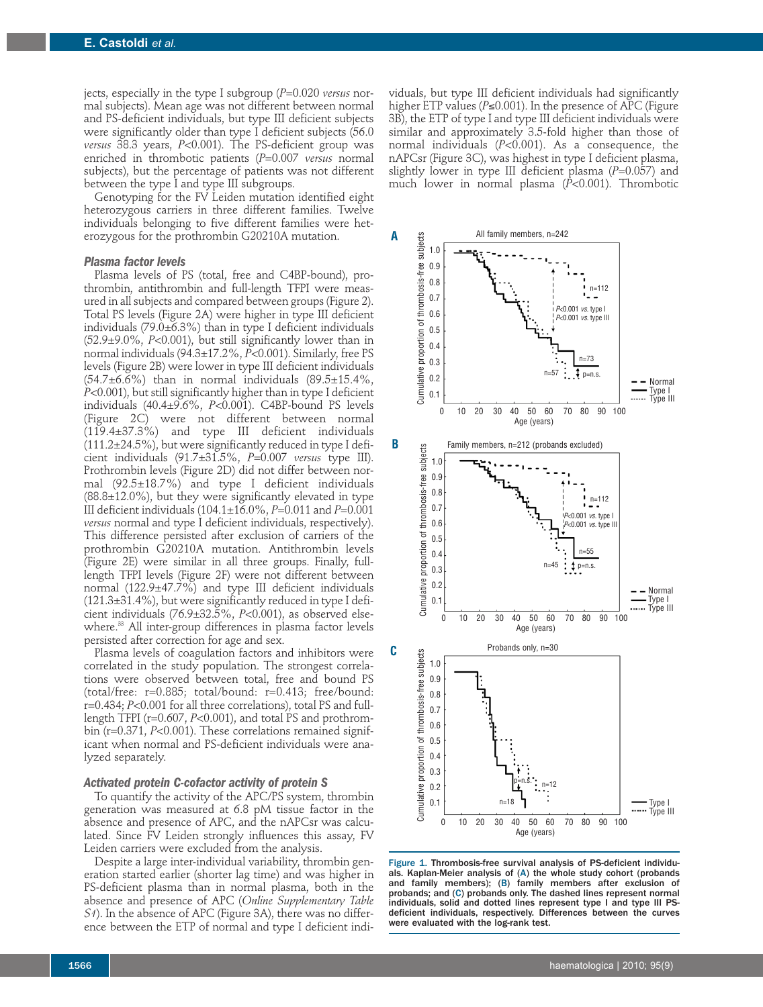jects, especially in the type I subgroup (*P*=0.020 *versus* normal subjects). Mean age was not different between normal and PS-deficient individuals, but type III deficient subjects were significantly older than type I deficient subjects (56.0 *versus* 38.3 years, *P*<0.001). The PS-deficient group was enriched in thrombotic patients (*P*=0.007 *versus* normal subjects), but the percentage of patients was not different between the type I and type III subgroups.

Genotyping for the FV Leiden mutation identified eight heterozygous carriers in three different families. Twelve individuals belonging to five different families were heterozygous for the prothrombin G20210A mutation.

## *Plasma factor levels*

Plasma levels of PS (total, free and C4BP-bound), prothrombin, antithrombin and full-length TFPI were measured in all subjects and compared between groups (Figure 2). Total PS levels (Figure 2A) were higher in type III deficient individuals (79.0±6.3%) than in type I deficient individuals (52.9±9.0%, *P*<0.001), but still significantly lower than in normal individuals (94.3±17.2%, *P*<0.001). Similarly, free PS levels (Figure 2B) were lower in type III deficient individuals (54.7±6.6%) than in normal individuals (89.5±15.4%, *P*<0.001), but still significantly higher than in type I deficient individuals (40.4±9.6%, *P*<0.001). C4BP-bound PS levels (Figure 2C) were not different between normal (119.4±37.3%) and type III deficient individuals (111.2±24.5%), but were significantly reduced in type I deficient individuals (91.7±31.5%, *P*=0.007 *versus* type III). Prothrombin levels (Figure 2D) did not differ between normal (92.5±18.7%) and type I deficient individuals (88.8±12.0%), but they were significantly elevated in type III deficient individuals (104.1±16.0%, *P*=0.011 and *P*=0.001 *versus* normal and type I deficient individuals, respectively). This difference persisted after exclusion of carriers of the prothrombin G20210A mutation. Antithrombin levels (Figure 2E) were similar in all three groups. Finally, fulllength TFPI levels (Figure 2F) were not different between normal (122.9±47.7%) and type III deficient individuals (121.3±31.4%), but were significantly reduced in type I deficient individuals (76.9±32.5%, *P*<0.001), as observed elsewhere. <sup>33</sup> All inter-group differences in plasma factor levels persisted after correction for age and sex.

Plasma levels of coagulation factors and inhibitors were correlated in the study population. The strongest correlations were observed between total, free and bound PS (total/free:  $r=0.885$ ; total/bound:  $r=0.413$ ; free/bound: r=0.434; *P*<0.001 for all three correlations), total PS and fulllength TFPI (r=0.607, *P*<0.001), and total PS and prothrombin (r=0.371, *P*<0.001). These correlations remained significant when normal and PS-deficient individuals were analyzed separately.

# *Activated protein C-cofactor activity of protein S*

To quantify the activity of the APC/PS system, thrombin generation was measured at 6.8 pM tissue factor in the absence and presence of APC, and the nAPCsr was calculated. Since FV Leiden strongly influences this assay, FV Leiden carriers were excluded from the analysis.

Despite a large inter-individual variability, thrombin generation started earlier (shorter lag time) and was higher in PS-deficient plasma than in normal plasma, both in the absence and presence of APC (*Online Supplementary Table S1*). In the absence of APC (Figure 3A), there was no difference between the ETP of normal and type I deficient indi-

viduals, but type III deficient individuals had significantly higher ETP values (*P*≤0.001). In the presence of APC (Figure 3B), the ETP of type I and type III deficient individuals were similar and approximately 3.5-fold higher than those of normal individuals (*P*<0.001). As a consequence, the nAPCsr (Figure 3C), was highest in type I deficient plasma, slightly lower in type III deficient plasma (*P*=0.057) and much lower in normal plasma (*P*<0.001). Thrombotic



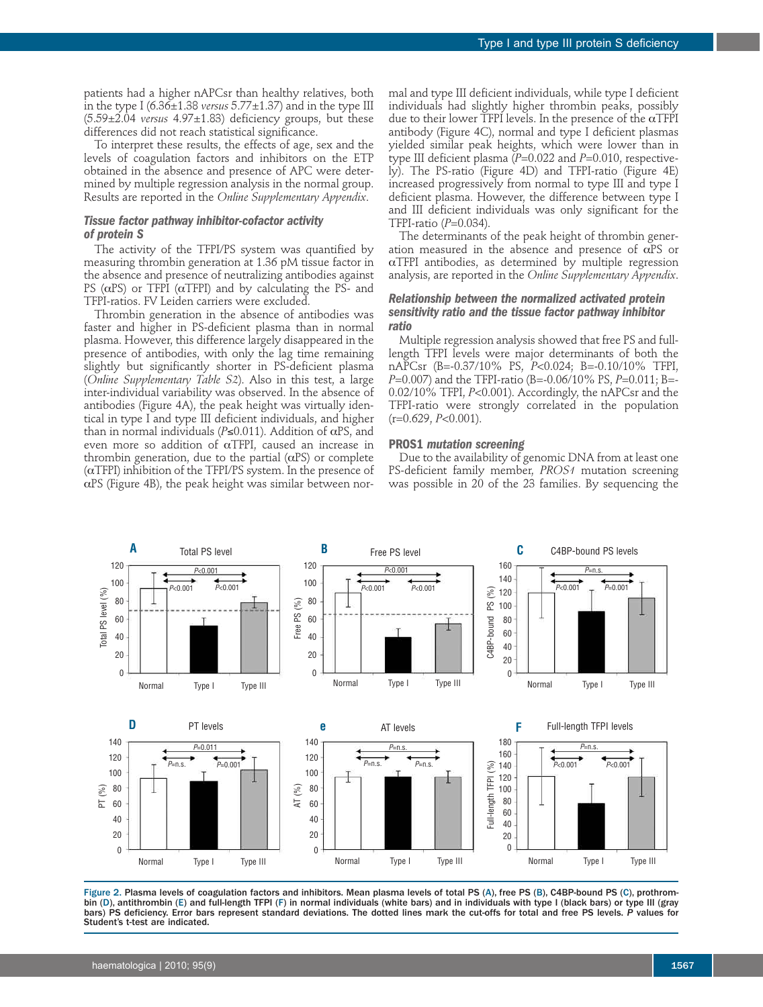patients had a higher nAPCsr than healthy relatives, both in the type I (6.36±1.38 *versus* 5.77±1.37) and in the type III (5.59±2.04 *versus* 4.97±1.83) deficiency groups, but these differences did not reach statistical significance.

To interpret these results, the effects of age, sex and the levels of coagulation factors and inhibitors on the ETP obtained in the absence and presence of APC were determined by multiple regression analysis in the normal group. Results are reported in the *Online Supplementary Appendix*.

# *Tissue factor pathway inhibitor-cofactor activity of protein S*

The activity of the TFPI/PS system was quantified by measuring thrombin generation at 1.36 pM tissue factor in the absence and presence of neutralizing antibodies against PS ( $\alpha$ PS) or TFPI ( $\alpha$ TFPI) and by calculating the PS- and TFPI-ratios. FV Leiden carriers were excluded.

Thrombin generation in the absence of antibodies was faster and higher in PS-deficient plasma than in normal plasma. However, this difference largely disappeared in the presence of antibodies, with only the lag time remaining slightly but significantly shorter in PS-deficient plasma (*Online Supplementary Table S2*). Also in this test, a large inter-individual variability was observed. In the absence of antibodies (Figure 4A), the peak height was virtually identical in type I and type III deficient individuals, and higher than in normal individuals ( $P \le 0.011$ ). Addition of  $\alpha PS$ , and even more so addition of αTFPI, caused an increase in thrombin generation, due to the partial (αPS) or complete (αTFPI) inhibition of the TFPI/PS system. In the presence of αPS (Figure 4B), the peak height was similar between normal and type III deficient individuals, while type I deficient individuals had slightly higher thrombin peaks, possibly due to their lower TFPI levels. In the presence of the αTFPI antibody (Figure 4C), normal and type I deficient plasmas yielded similar peak heights, which were lower than in type III deficient plasma (*P*=0.022 and *P*=0.010, respectively). The PS-ratio (Figure 4D) and TFPI-ratio (Figure 4E) increased progressively from normal to type III and type I deficient plasma. However, the difference between type I and III deficient individuals was only significant for the TFPI-ratio (*P*=0.034).

The determinants of the peak height of thrombin generation measured in the absence and presence of  $\alpha PS$  or αTFPI antibodies, as determined by multiple regression analysis, are reported in the *Online Supplementary Appendix*.

# *Relationship between the normalized activated protein sensitivity ratio and the tissue factor pathway inhibitor ratio*

Multiple regression analysis showed that free PS and fulllength TFPI levels were major determinants of both the nAPCsr (B=-0.37/10% PS, *P*<0.024; B=-0.10/10% TFPI, *P*=0.007) and the TFPI-ratio (B=-0.06/10% PS, *P*=0.011; B=- 0.02/10% TFPI, *P*<0.001). Accordingly, the nAPCsr and the TFPI-ratio were strongly correlated in the population (r=0.629, *P*<0.001).

# **PROS1** *mutation screening*

Due to the availability of genomic DNA from at least one PS-deficient family member, *PROS1* mutation screening was possible in 20 of the 23 families. By sequencing the



Figure 2. Plasma levels of coagulation factors and inhibitors. Mean plasma levels of total PS (A), free PS (B), C4BP-bound PS (C), prothrombin (D), antithrombin (E) and full-length TFPI (F) in normal individuals (white bars) and in individuals with type I (black bars) or type III (gray bars) PS deficiency. Error bars represent standard deviations. The dotted lines mark the cut-offs for total and free PS levels. P Student's t-test are indicated.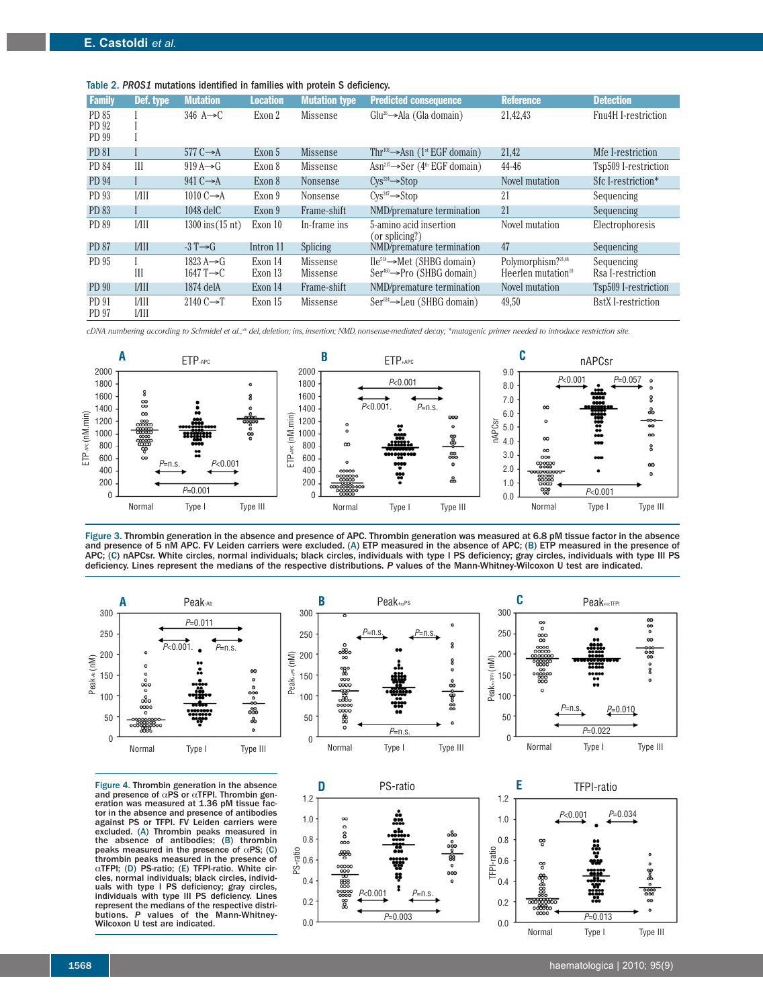| <b>Family</b>           | Def. type | <b>Mutation</b>                                  | <b>Location</b>    | <b>Mutation type</b> | <b>Predicted consequence</b>                                                       | <b>Reference</b>                                                 | <b>Detection</b>                |
|-------------------------|-----------|--------------------------------------------------|--------------------|----------------------|------------------------------------------------------------------------------------|------------------------------------------------------------------|---------------------------------|
| PD 85<br>PD 92<br>PD 99 |           | 346 A $\rightarrow$ C                            | Exon 2             | Missense             | $Glu^{26} \rightarrow Ala$ (Gla domain)                                            | 21,42,43                                                         | Fnu4H I-restriction             |
| PD 81                   | л.        | 577 $C \rightarrow A$                            | Exon 5             | Missense             | Thr <sup>103</sup> $\rightarrow$ Asn (1 <sup>st</sup> EGF domain)                  | 21,42                                                            | Mfe I-restriction               |
| <b>PD 84</b>            | III       | $919A \rightarrow G$                             | Exon 8             | Missense             | Asn <sup>217</sup> $\rightarrow$ Ser (4 <sup>th</sup> EGF domain)                  | 44-46                                                            | Tsp509 I-restriction            |
| PD 94                   |           | 941 $C \rightarrow A$                            | Exon 8             | Nonsense             | $Cys^{224} \rightarrow Stop$                                                       | Novel mutation                                                   | Sfc I-restriction*              |
| PD 93                   | 1/11      | 1010 $C \rightarrow A$                           | Exon 9             | <b>Nonsense</b>      | $Cvs^{247} \rightarrow Stop$                                                       | 21                                                               | Sequencing                      |
| PD 83                   |           | $1048$ del $C$                                   | Exon 9             | Frame-shift          | NMD/premature termination                                                          | 21                                                               | Sequencing                      |
| PD 89                   | ИI        | $1300$ ins $(15$ nt)                             | Exon 10            | In-frame ins         | 5-amino acid insertion<br>(or splicing?)                                           | Novel mutation                                                   | Electrophoresis                 |
| <b>PD 87</b>            | VIII      | $-3$ T $\rightarrow$ G                           | Intron 11          | <b>Splicing</b>      | NMD/premature termination                                                          | 47                                                               | Sequencing                      |
| PD 95                   | III       | $1823 A \rightarrow G$<br>1647 T $\rightarrow$ C | Exon 14<br>Exon 13 | Missense<br>Missense | $Ile^{518} \rightarrow Met$ (SHBG domain)<br>Ser <sup>460</sup> →Pro (SHBG domain) | Polymorphism? <sup>21,48</sup><br>Heerlen mutation <sup>18</sup> | Sequencing<br>Rsa I-restriction |
| PD 90                   | VIII      | 1874 delA                                        | Exon 14            | Frame-shift          | NMD/premature termination                                                          | Novel mutation                                                   | Tsp509 I-restriction            |
| PD 91<br><b>PD 97</b>   | ИH<br>ИII | 2140 $C \rightarrow T$                           | Exon 15            | Missense             | $Ser^{\text{624}}\rightarrow$ Leu (SHBG domain)                                    | 49,50                                                            | <b>BstX</b> I-restriction       |

Table 2. *PROS1* mutations identified in families with protein S deficiency.

cDNA numbering according to Schmidel et al.;46 del, deletion; ins, insertion; NMD, nonsense-mediated decay; \*mutagenic primer needed to introduce restriction site.



Figure 3. Thrombin generation in the absence and presence of APC. Thrombin generation was measured at 6.8 pM tissue factor in the absence and presence of 5 nM APC. FV Leiden carriers were excluded. (A) ETP measured in the absence of APC; (B) ETP measured in the presence of APC; (C) nAPCsr. White circles, normal individuals; black circles, individuals with type I PS deficiency; gray circles, individuals with type III PS deficiency. Lines represent the medians of the respective distributions. *P* values of the Mann-Whitney-Wilcoxon U test are indicated.



Figure 4. Thrombin generation in the absence<br>and presence of  $\alpha$ PS or  $\alpha$ TFPI. Thrombin generation was measured at 1.36 pM tissue fac-<br>tor in the absence and presence of antibodies<br>against PS or TFPI. FV Leiden carriers thrombin peaks measured in the presence of  $\alpha$ TFPI; (D) PS-ratio; (E) TFPI-ratio. White circles, normal individuals; black circles, individuals with type I PS deficiency; gray circles, individuals with type III PS deficiency. Lines represent the medians of the respective distributions. P values of the Mann-Whitn Wilcoxon U test are indicated.







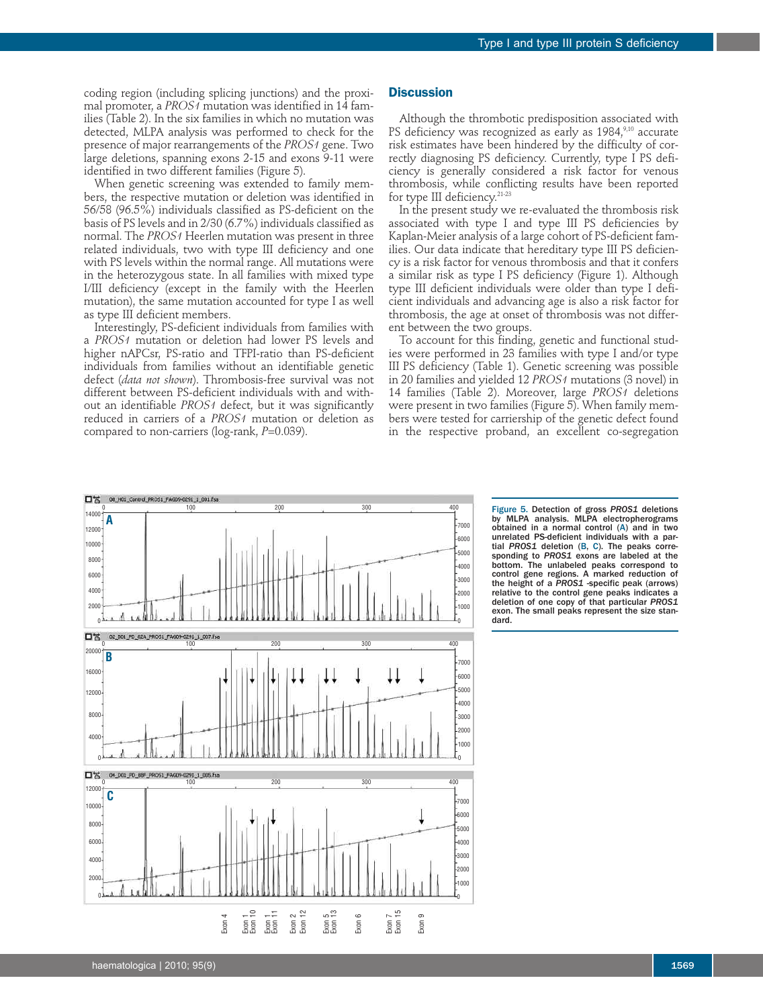coding region (including splicing junctions) and the proximal promoter, a *PROS1* mutation was identified in 14 families (Table 2). In the six families in which no mutation was detected, MLPA analysis was performed to check for the presence of major rearrangements of the *PROS1* gene. Two large deletions, spanning exons 2-15 and exons 9-11 were identified in two different families (Figure 5).

When genetic screening was extended to family members, the respective mutation or deletion was identified in 56/58 (96.5%) individuals classified as PS-deficient on the basis of PS levels and in 2/30 (6.7%) individuals classified as normal. The *PROS1* Heerlen mutation was present in three related individuals, two with type III deficiency and one with PS levels within the normal range. All mutations were in the heterozygous state. In all families with mixed type I/III deficiency (except in the family with the Heerlen mutation), the same mutation accounted for type I as well as type III deficient members.

Interestingly, PS-deficient individuals from families with a *PROS1* mutation or deletion had lower PS levels and higher nAPCsr, PS-ratio and TFPI-ratio than PS-deficient individuals from families without an identifiable genetic defect (*data not shown*). Thrombosis-free survival was not different between PS-deficient individuals with and without an identifiable *PROS1* defect, but it was significantly reduced in carriers of a *PROS1* mutation or deletion as compared to non-carriers (log-rank, *P*=0.039).

# **Discussion**

Although the thrombotic predisposition associated with PS deficiency was recognized as early as 1984, $^{\mathrm{9,10}}$  accurate risk estimates have been hindered by the difficulty of correctly diagnosing PS deficiency. Currently, type I PS deficiency is generally considered a risk factor for venous thrombosis, while conflicting results have been reported for type III deficiency. 21-23

In the present study we re-evaluated the thrombosis risk associated with type I and type III PS deficiencies by Kaplan-Meier analysis of a large cohort of PS-deficient families. Our data indicate that hereditary type III PS deficiency is a risk factor for venous thrombosis and that it confers a similar risk as type I PS deficiency (Figure 1). Although type III deficient individuals were older than type I deficient individuals and advancing age is also a risk factor for thrombosis, the age at onset of thrombosis was not different between the two groups.

To account for this finding, genetic and functional studies were performed in 23 families with type I and/or type III PS deficiency (Table 1). Genetic screening was possible in 20 families and yielded 12 *PROS1* mutations (3 novel) in 14 families (Table 2). Moreover, large *PROS1* deletions were present in two families (Figure 5). When family members were tested for carriership of the genetic defect found in the respective proband, an excellent co-segregation



Figure 5. Detection of gross *PROS1* deletions<br>by MLPA analysis. MLPA electropherograms<br>obtained in a normal control (A) and in two<br>unrelated PS-deficient individuals with a par-<br>tial *PROS1* deletion (B, C). The peaks cor relative to the control gene peaks indicates a deletion of one copy of that particular *PROS1* exon. The small peaks represent the size stan- dard.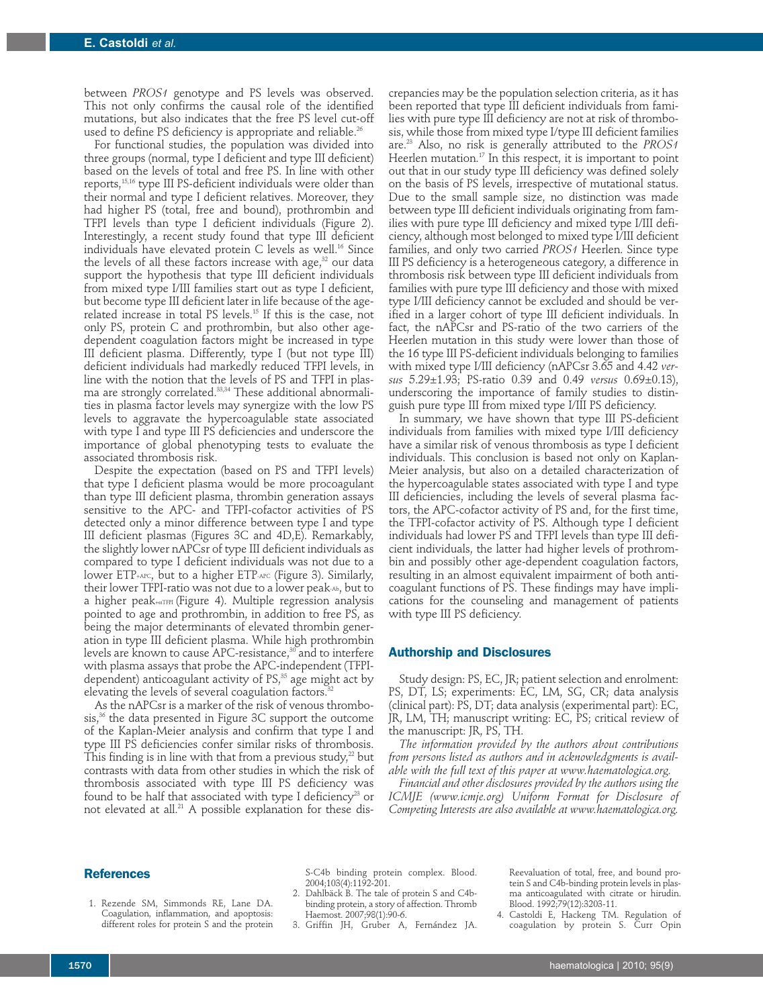between *PROS1* genotype and PS levels was observed. This not only confirms the causal role of the identified mutations, but also indicates that the free PS level cut-off used to define PS deficiency is appropriate and reliable. 26

For functional studies, the population was divided into three groups (normal, type I deficient and type III deficient) based on the levels of total and free PS. In line with other reports, 15,16 type III PS-deficient individuals were older than their normal and type I deficient relatives. Moreover, they had higher PS (total, free and bound), prothrombin and TFPI levels than type I deficient individuals (Figure 2). Interestingly, a recent study found that type III deficient individuals have elevated protein C levels as well. <sup>16</sup> Since the levels of all these factors increase with age, <sup>32</sup> our data support the hypothesis that type III deficient individuals from mixed type I/III families start out as type I deficient, but become type III deficient later in life because of the agerelated increase in total PS levels. <sup>15</sup> If this is the case, not only PS, protein C and prothrombin, but also other agedependent coagulation factors might be increased in type III deficient plasma. Differently, type I (but not type III) deficient individuals had markedly reduced TFPI levels, in line with the notion that the levels of PS and TFPI in plasma are strongly correlated. 33,34 These additional abnormalities in plasma factor levels may synergize with the low PS levels to aggravate the hypercoagulable state associated with type I and type III PS deficiencies and underscore the importance of global phenotyping tests to evaluate the associated thrombosis risk.

Despite the expectation (based on PS and TFPI levels) that type I deficient plasma would be more procoagulant than type III deficient plasma, thrombin generation assays sensitive to the APC- and TFPI-cofactor activities of PS detected only a minor difference between type I and type III deficient plasmas (Figures 3C and 4D,E). Remarkably, the slightly lower nAPCsr of type III deficient individuals as compared to type I deficient individuals was not due to a lower ETP+APC, but to a higher ETP-APC (Figure 3). Similarly, their lower TFPI-ratio was not due to a lower peak-Ab, but to a higher peak+αTFPI (Figure 4). Multiple regression analysis pointed to age and prothrombin, in addition to free PS, as being the major determinants of elevated thrombin generation in type III deficient plasma. While high prothrombin levels are known to cause APC-resistance, <sup>30</sup> and to interfere with plasma assays that probe the APC-independent (TFPIdependent) anticoagulant activity of PS, <sup>35</sup> age might act by elevating the levels of several coagulation factors. 32

As the nAPCsr is a marker of the risk of venous thrombosis, <sup>36</sup> the data presented in Figure 3C support the outcome of the Kaplan-Meier analysis and confirm that type I and type III PS deficiencies confer similar risks of thrombosis. This finding is in line with that from a previous study, $^{\rm 22}$  but contrasts with data from other studies in which the risk of thrombosis associated with type III PS deficiency was found to be half that associated with type I deficiency<sup>23</sup> or not elevated at all. <sup>21</sup> A possible explanation for these dis-

crepancies may be the population selection criteria, as it has been reported that type III deficient individuals from families with pure type III deficiency are not at risk of thrombosis, while those from mixed type I/type III deficient families are. <sup>23</sup> Also, no risk is generally attributed to the *PROS1* Heerlen mutation. <sup>17</sup> In this respect, it is important to point out that in our study type III deficiency was defined solely on the basis of PS levels, irrespective of mutational status. Due to the small sample size, no distinction was made between type III deficient individuals originating from families with pure type III deficiency and mixed type I/III deficiency, although most belonged to mixed type I/III deficient families, and only two carried *PROS1* Heerlen. Since type III PS deficiency is a heterogeneous category, a difference in thrombosis risk between type III deficient individuals from families with pure type III deficiency and those with mixed type I/III deficiency cannot be excluded and should be verified in a larger cohort of type III deficient individuals. In fact, the nAPCsr and PS-ratio of the two carriers of the Heerlen mutation in this study were lower than those of the 16 type III PS-deficient individuals belonging to families with mixed type I/III deficiency (nAPCsr 3.65 and 4.42 *versus* 5.29±1.93; PS-ratio 0.39 and 0.49 *versus* 0.69±0.13), underscoring the importance of family studies to distinguish pure type III from mixed type I/III PS deficiency.

In summary, we have shown that type III PS-deficient individuals from families with mixed type I/III deficiency have a similar risk of venous thrombosis as type I deficient individuals. This conclusion is based not only on Kaplan-Meier analysis, but also on a detailed characterization of the hypercoagulable states associated with type I and type III deficiencies, including the levels of several plasma factors, the APC-cofactor activity of PS and, for the first time, the TFPI-cofactor activity of PS. Although type I deficient individuals had lower PS and TFPI levels than type III deficient individuals, the latter had higher levels of prothrombin and possibly other age-dependent coagulation factors, resulting in an almost equivalent impairment of both anticoagulant functions of PS. These findings may have implications for the counseling and management of patients with type III PS deficiency.

# **Authorship and Disclosures**

Study design: PS, EC, JR; patient selection and enrolment: PS, DT, LS; experiments: EC, LM, SG, CR; data analysis (clinical part): PS, DT; data analysis (experimental part): EC, JR, LM, TH; manuscript writing: EC, PS; critical review of the manuscript: JR, PS, TH.

*The information provided by the authors about contributions from persons listed as authors and in acknowledgments is available with the full text of this paper at www.haematologica.org.*

*Financial and other disclosures provided by the authors using the ICMJE (www.icmje.org) Uniform Format for Disclosure of Competing Interests are also available at www.haematologica.org.*

# **References**

1. Rezende SM, Simmonds RE, Lane DA. Coagulation, inflammation, and apoptosis: different roles for protein S and the protein S-C4b binding protein complex. Blood. 2004;103(4):1192-201.

- 2. Dahlbäck B. The tale of protein S and C4bbinding protein, a story of affection. Thromb Haemost. 2007;98(1):90-6.
- 3. Griffin JH, Gruber A, Fernández JA.

Reevaluation of total, free, and bound protein S and C4b-binding protein levels in plasma anticoagulated with citrate or hirudin. Blood. 1992;79(12):3203-11.

4. Castoldi E, Hackeng TM. Regulation of coagulation by protein S. Curr Opin